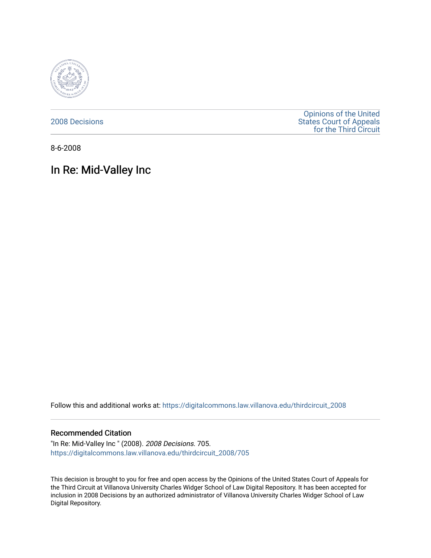

[2008 Decisions](https://digitalcommons.law.villanova.edu/thirdcircuit_2008)

[Opinions of the United](https://digitalcommons.law.villanova.edu/thirdcircuit)  [States Court of Appeals](https://digitalcommons.law.villanova.edu/thirdcircuit)  [for the Third Circuit](https://digitalcommons.law.villanova.edu/thirdcircuit) 

8-6-2008

# In Re: Mid-Valley Inc

Follow this and additional works at: [https://digitalcommons.law.villanova.edu/thirdcircuit\\_2008](https://digitalcommons.law.villanova.edu/thirdcircuit_2008?utm_source=digitalcommons.law.villanova.edu%2Fthirdcircuit_2008%2F705&utm_medium=PDF&utm_campaign=PDFCoverPages) 

## Recommended Citation

"In Re: Mid-Valley Inc " (2008). 2008 Decisions. 705. [https://digitalcommons.law.villanova.edu/thirdcircuit\\_2008/705](https://digitalcommons.law.villanova.edu/thirdcircuit_2008/705?utm_source=digitalcommons.law.villanova.edu%2Fthirdcircuit_2008%2F705&utm_medium=PDF&utm_campaign=PDFCoverPages)

This decision is brought to you for free and open access by the Opinions of the United States Court of Appeals for the Third Circuit at Villanova University Charles Widger School of Law Digital Repository. It has been accepted for inclusion in 2008 Decisions by an authorized administrator of Villanova University Charles Widger School of Law Digital Repository.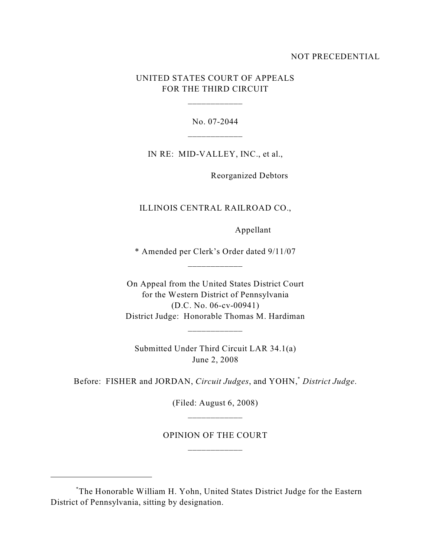## NOT PRECEDENTIAL

## UNITED STATES COURT OF APPEALS FOR THE THIRD CIRCUIT

\_\_\_\_\_\_\_\_\_\_\_\_

No. 07-2044

IN RE: MID-VALLEY, INC., et al.,

Reorganized Debtors

ILLINOIS CENTRAL RAILROAD CO.,

Appellant

\* Amended per Clerk's Order dated 9/11/07 \_\_\_\_\_\_\_\_\_\_\_\_

On Appeal from the United States District Court for the Western District of Pennsylvania (D.C. No. 06-cv-00941) District Judge: Honorable Thomas M. Hardiman

Submitted Under Third Circuit LAR 34.1(a) June 2, 2008

\_\_\_\_\_\_\_\_\_\_\_\_

Before: FISHER and JORDAN, Circuit Judges, and YOHN,<sup>\*</sup> District Judge.

(Filed: August 6, 2008) \_\_\_\_\_\_\_\_\_\_\_\_

OPINION OF THE COURT

The Honorable William H. Yohn, United States District Judge for the Eastern \* District of Pennsylvania, sitting by designation.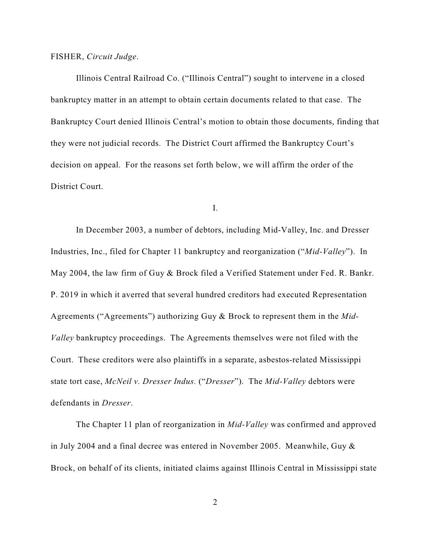FISHER, *Circuit Judge*.

Illinois Central Railroad Co. ("Illinois Central") sought to intervene in a closed bankruptcy matter in an attempt to obtain certain documents related to that case. The Bankruptcy Court denied Illinois Central's motion to obtain those documents, finding that they were not judicial records. The District Court affirmed the Bankruptcy Court's decision on appeal. For the reasons set forth below, we will affirm the order of the District Court.

I.

In December 2003, a number of debtors, including Mid-Valley, Inc. and Dresser Industries, Inc., filed for Chapter 11 bankruptcy and reorganization ("*Mid-Valley*"). In May 2004, the law firm of Guy & Brock filed a Verified Statement under Fed. R. Bankr. P. 2019 in which it averred that several hundred creditors had executed Representation Agreements ("Agreements") authorizing Guy & Brock to represent them in the *Mid-Valley* bankruptcy proceedings. The Agreements themselves were not filed with the Court. These creditors were also plaintiffs in a separate, asbestos-related Mississippi state tort case, *McNeil v. Dresser Indus.* ("*Dresser*"). The *Mid-Valley* debtors were defendants in *Dresser*.

The Chapter 11 plan of reorganization in *Mid-Valley* was confirmed and approved in July 2004 and a final decree was entered in November 2005. Meanwhile, Guy & Brock, on behalf of its clients, initiated claims against Illinois Central in Mississippi state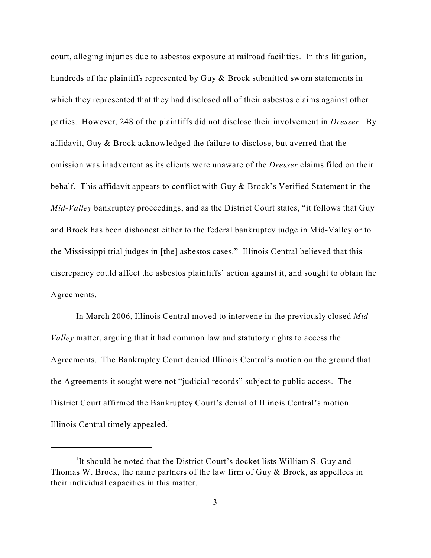court, alleging injuries due to asbestos exposure at railroad facilities. In this litigation, hundreds of the plaintiffs represented by Guy & Brock submitted sworn statements in which they represented that they had disclosed all of their asbestos claims against other parties. However, 248 of the plaintiffs did not disclose their involvement in *Dresser*. By affidavit, Guy & Brock acknowledged the failure to disclose, but averred that the omission was inadvertent as its clients were unaware of the *Dresser* claims filed on their behalf. This affidavit appears to conflict with Guy & Brock's Verified Statement in the *Mid-Valley* bankruptcy proceedings, and as the District Court states, "it follows that Guy and Brock has been dishonest either to the federal bankruptcy judge in Mid-Valley or to the Mississippi trial judges in [the] asbestos cases." Illinois Central believed that this discrepancy could affect the asbestos plaintiffs' action against it, and sought to obtain the Agreements.

In March 2006, Illinois Central moved to intervene in the previously closed *Mid-Valley* matter, arguing that it had common law and statutory rights to access the Agreements. The Bankruptcy Court denied Illinois Central's motion on the ground that the Agreements it sought were not "judicial records" subject to public access. The District Court affirmed the Bankruptcy Court's denial of Illinois Central's motion. Illinois Central timely appealed. $<sup>1</sup>$ </sup>

<sup>&</sup>lt;sup>1</sup>It should be noted that the District Court's docket lists William S. Guy and Thomas W. Brock, the name partners of the law firm of Guy & Brock, as appellees in their individual capacities in this matter.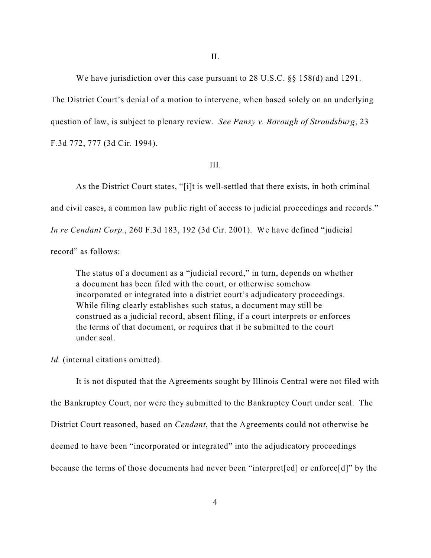We have jurisdiction over this case pursuant to 28 U.S.C. §§ 158(d) and 1291.

The District Court's denial of a motion to intervene, when based solely on an underlying question of law, is subject to plenary review. *See Pansy v. Borough of Stroudsburg*, 23 F.3d 772, 777 (3d Cir. 1994).

#### III.

As the District Court states, "[i]t is well-settled that there exists, in both criminal and civil cases, a common law public right of access to judicial proceedings and records." *In re Cendant Corp.*, 260 F.3d 183, 192 (3d Cir. 2001). We have defined "judicial record" as follows:

The status of a document as a "judicial record," in turn, depends on whether a document has been filed with the court, or otherwise somehow incorporated or integrated into a district court's adjudicatory proceedings. While filing clearly establishes such status, a document may still be construed as a judicial record, absent filing, if a court interprets or enforces the terms of that document, or requires that it be submitted to the court under seal.

*Id.* (internal citations omitted).

It is not disputed that the Agreements sought by Illinois Central were not filed with the Bankruptcy Court, nor were they submitted to the Bankruptcy Court under seal. The District Court reasoned, based on *Cendant*, that the Agreements could not otherwise be deemed to have been "incorporated or integrated" into the adjudicatory proceedings because the terms of those documents had never been "interpret[ed] or enforce[d]" by the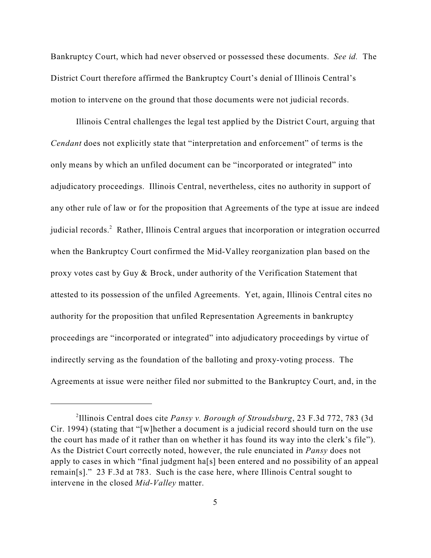Bankruptcy Court, which had never observed or possessed these documents. *See id.* The District Court therefore affirmed the Bankruptcy Court's denial of Illinois Central's motion to intervene on the ground that those documents were not judicial records.

Illinois Central challenges the legal test applied by the District Court, arguing that *Cendant* does not explicitly state that "interpretation and enforcement" of terms is the only means by which an unfiled document can be "incorporated or integrated" into adjudicatory proceedings. Illinois Central, nevertheless, cites no authority in support of any other rule of law or for the proposition that Agreements of the type at issue are indeed judicial records.<sup>2</sup> Rather, Illinois Central argues that incorporation or integration occurred when the Bankruptcy Court confirmed the Mid-Valley reorganization plan based on the proxy votes cast by Guy & Brock, under authority of the Verification Statement that attested to its possession of the unfiled Agreements. Yet, again, Illinois Central cites no authority for the proposition that unfiled Representation Agreements in bankruptcy proceedings are "incorporated or integrated" into adjudicatory proceedings by virtue of indirectly serving as the foundation of the balloting and proxy-voting process. The Agreements at issue were neither filed nor submitted to the Bankruptcy Court, and, in the

<sup>&</sup>lt;sup>2</sup>Illinois Central does cite *Pansy v. Borough of Stroudsburg*, 23 F.3d 772, 783 (3d) Cir. 1994) (stating that "[w]hether a document is a judicial record should turn on the use the court has made of it rather than on whether it has found its way into the clerk's file"). As the District Court correctly noted, however, the rule enunciated in *Pansy* does not apply to cases in which "final judgment ha[s] been entered and no possibility of an appeal remain[s]." 23 F.3d at 783. Such is the case here, where Illinois Central sought to intervene in the closed *Mid-Valley* matter.